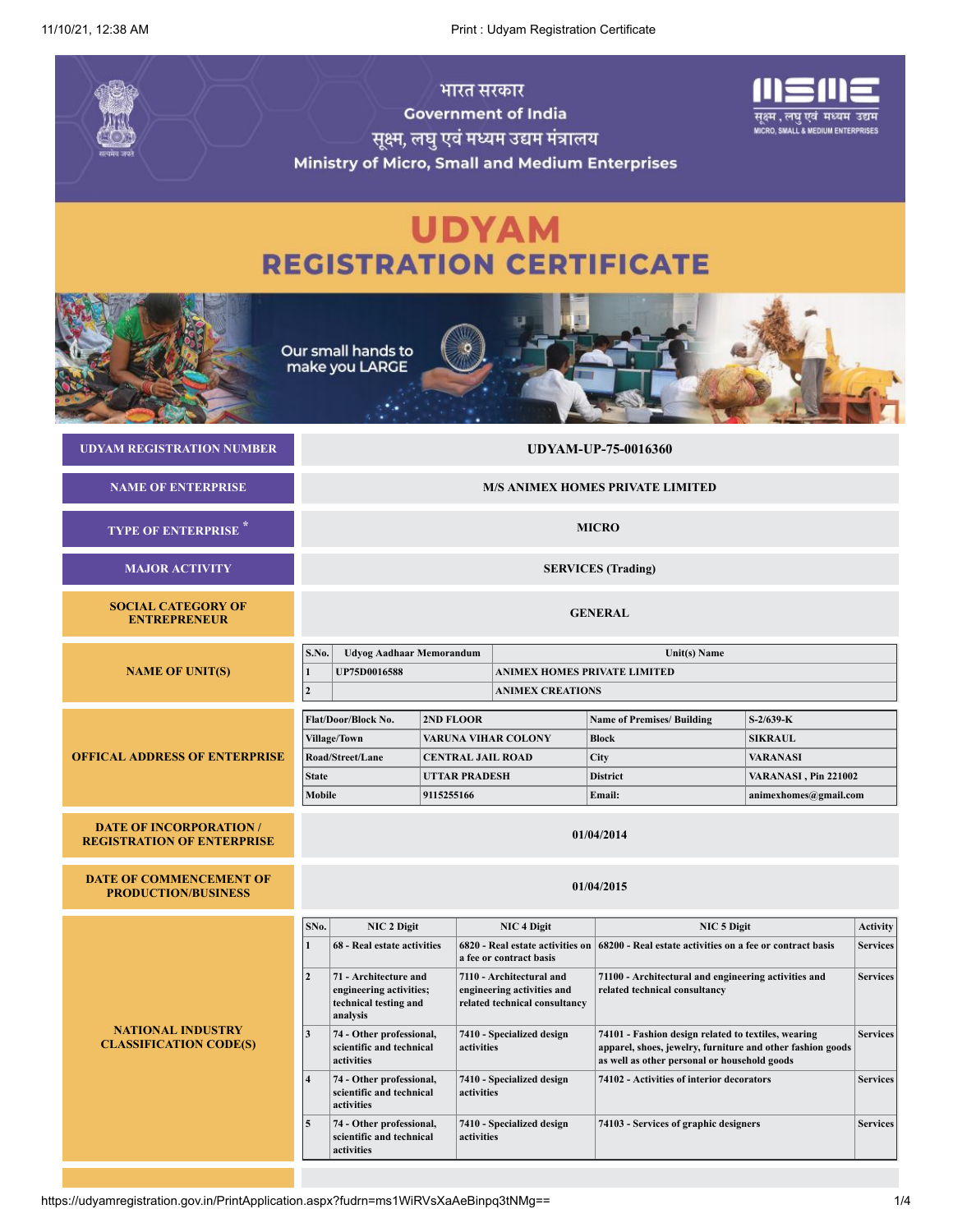11/10/21, 12:38 AM Print : Udyam Registration Certificate

|                                                                     | <b>Government of India</b><br>सूक्ष्म, लघु एवं मध्यम उद्यम मंत्रालय<br>Ministry of Micro, Small and Medium Enterprises |                                          | गुक्ष्म , लघु एव मध्यम उद्यम<br><b>MICRO, SMALL &amp; MEDIUM ENTERPRISES</b>            |                                                                                                                                                                   |                                                                                                   |                 |
|---------------------------------------------------------------------|------------------------------------------------------------------------------------------------------------------------|------------------------------------------|-----------------------------------------------------------------------------------------|-------------------------------------------------------------------------------------------------------------------------------------------------------------------|---------------------------------------------------------------------------------------------------|-----------------|
|                                                                     | <b>REGISTRATION CERTIFICATE</b>                                                                                        |                                          | <b>UDYAM</b>                                                                            |                                                                                                                                                                   |                                                                                                   |                 |
|                                                                     | Our small hands to<br>make you LARGE                                                                                   |                                          |                                                                                         |                                                                                                                                                                   |                                                                                                   |                 |
| <b>UDYAM REGISTRATION NUMBER</b>                                    |                                                                                                                        |                                          |                                                                                         | <b>UDYAM-UP-75-0016360</b>                                                                                                                                        |                                                                                                   |                 |
| <b>NAME OF ENTERPRISE</b>                                           | <b>M/S ANIMEX HOMES PRIVATE LIMITED</b>                                                                                |                                          |                                                                                         |                                                                                                                                                                   |                                                                                                   |                 |
| <b>TYPE OF ENTERPRISE</b>                                           | <b>MICRO</b>                                                                                                           |                                          |                                                                                         |                                                                                                                                                                   |                                                                                                   |                 |
| <b>MAJOR ACTIVITY</b>                                               | <b>SERVICES</b> (Trading)                                                                                              |                                          |                                                                                         |                                                                                                                                                                   |                                                                                                   |                 |
| <b>SOCIAL CATEGORY OF</b><br><b>ENTREPRENEUR</b>                    |                                                                                                                        |                                          |                                                                                         | <b>GENERAL</b>                                                                                                                                                    |                                                                                                   |                 |
| <b>NAME OF UNIT(S)</b>                                              | S.No.<br><b>Udvog Aadhaar Memorandum</b><br><b>UP75D0016588</b><br>1<br>$\boldsymbol{2}$                               |                                          | <b>ANIMEX HOMES PRIVATE LIMITED</b><br><b>ANIMEX CREATIONS</b>                          | Unit(s) Name                                                                                                                                                      |                                                                                                   |                 |
| <b>OFFICAL ADDRESS OF ENTERPRISE</b>                                | Flat/Door/Block No.<br>Village/Town<br>Road/Street/Lane<br><b>State</b><br>Mobile                                      | 2ND FLOOR<br>UTTAR PRADESH<br>9115255166 | <b>VARUNA VIHAR COLONY</b><br><b>CENTRAL JAIL ROAD</b>                                  | <b>Name of Premises/ Building</b><br><b>Block</b><br>City<br><b>District</b><br>Email:                                                                            | $S-2/639-K$<br><b>SIKRAUL</b><br><b>VARANASI</b><br>VARANASI, Pin 221002<br>animexhomes@gmail.com |                 |
| <b>DATE OF INCORPORATION /</b><br><b>REGISTRATION OF ENTERPRISE</b> |                                                                                                                        |                                          |                                                                                         | 01/04/2014                                                                                                                                                        |                                                                                                   |                 |
| DATE OF COMMENCEMENT OF<br><b>PRODUCTION/BUSINESS</b>               |                                                                                                                        |                                          |                                                                                         | 01/04/2015                                                                                                                                                        |                                                                                                   |                 |
|                                                                     | SNo.<br>NIC 2 Digit                                                                                                    |                                          | <b>NIC 4 Digit</b>                                                                      | NIC <sub>5</sub> Digit                                                                                                                                            |                                                                                                   | <b>Activity</b> |
|                                                                     | 68 - Real estate activities<br>1                                                                                       |                                          | 6820 - Real estate activities on<br>a fee or contract basis                             | 68200 - Real estate activities on a fee or contract basis                                                                                                         |                                                                                                   | <b>Services</b> |
|                                                                     | $\mathbf{2}$<br>71 - Architecture and<br>engineering activities;<br>technical testing and<br>analysis                  |                                          | 7110 - Architectural and<br>engineering activities and<br>related technical consultancy | 71100 - Architectural and engineering activities and<br>related technical consultancy                                                                             |                                                                                                   | <b>Services</b> |
| <b>NATIONAL INDUSTRY</b><br><b>CLASSIFICATION CODE(S)</b>           | $\mathbf{3}$<br>74 - Other professional,<br>scientific and technical<br>activities                                     |                                          | 7410 - Specialized design<br>activities                                                 | 74101 - Fashion design related to textiles, wearing<br>apparel, shoes, jewelry, furniture and other fashion goods<br>as well as other personal or household goods |                                                                                                   | <b>Services</b> |
|                                                                     | 74 - Other professional,<br>$\overline{\mathbf{4}}$<br>scientific and technical<br>activities                          |                                          | 7410 - Specialized design<br>activities                                                 | 74102 - Activities of interior decorators                                                                                                                         |                                                                                                   | <b>Services</b> |
|                                                                     | 5<br>74 - Other professional,<br>scientific and technical<br>activities                                                |                                          | 7410 - Specialized design<br>activities                                                 | 74103 - Services of graphic designers                                                                                                                             |                                                                                                   | <b>Services</b> |
|                                                                     |                                                                                                                        |                                          |                                                                                         |                                                                                                                                                                   |                                                                                                   |                 |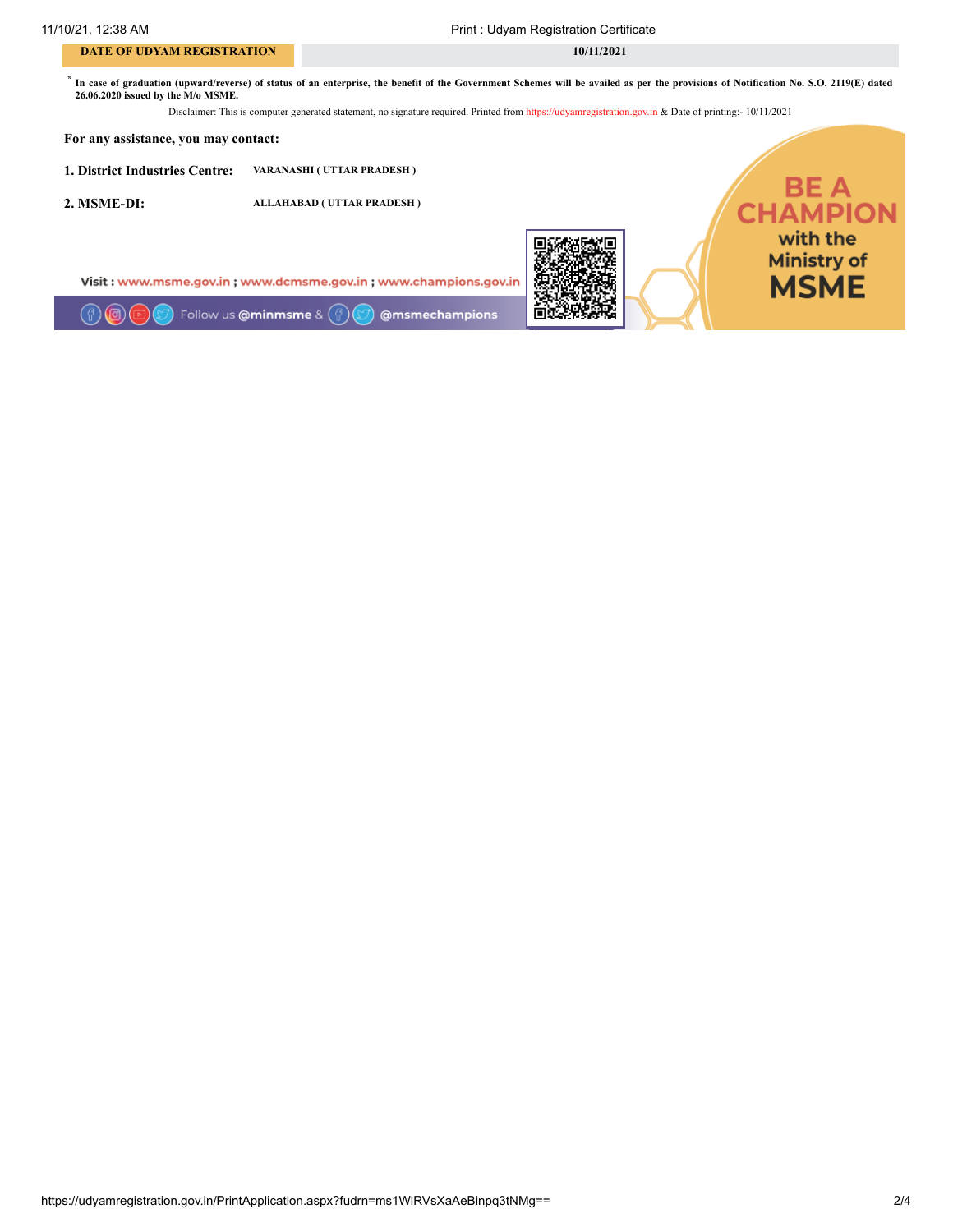### **DATE OF UDYAM REGISTRATION** 10/11/2021

11/10/21, 12:38 AM Print : Udyam Registration Certificate

\* In case of graduation (upward/reverse) of status of an enterprise, the benefit of the Government Schemes will be availed as per the provisions of Notification No. S.O. 2119(E) dated 26.06.2020 issued by the M/o MSME.

Disclaimer: This is computer generated statement, no signature required. Printed from https://udyamregistration.gov.in & Date of printing:- 10/11/2021

#### For any assistance, you may contact:

1. District Industries Centre: VARANASHI ( UTTAR PRADESH )

2. MSME-DI: ALLAHABAD ( UTTAR PRADESH )

Visit: www.msme.gov.in; www.dcmsme.gov.in; www.champions.gov.in

ल Follow us @minmsme & @msmechampions



**BE A<br>CHAMPION** with the **Ministry of MSME**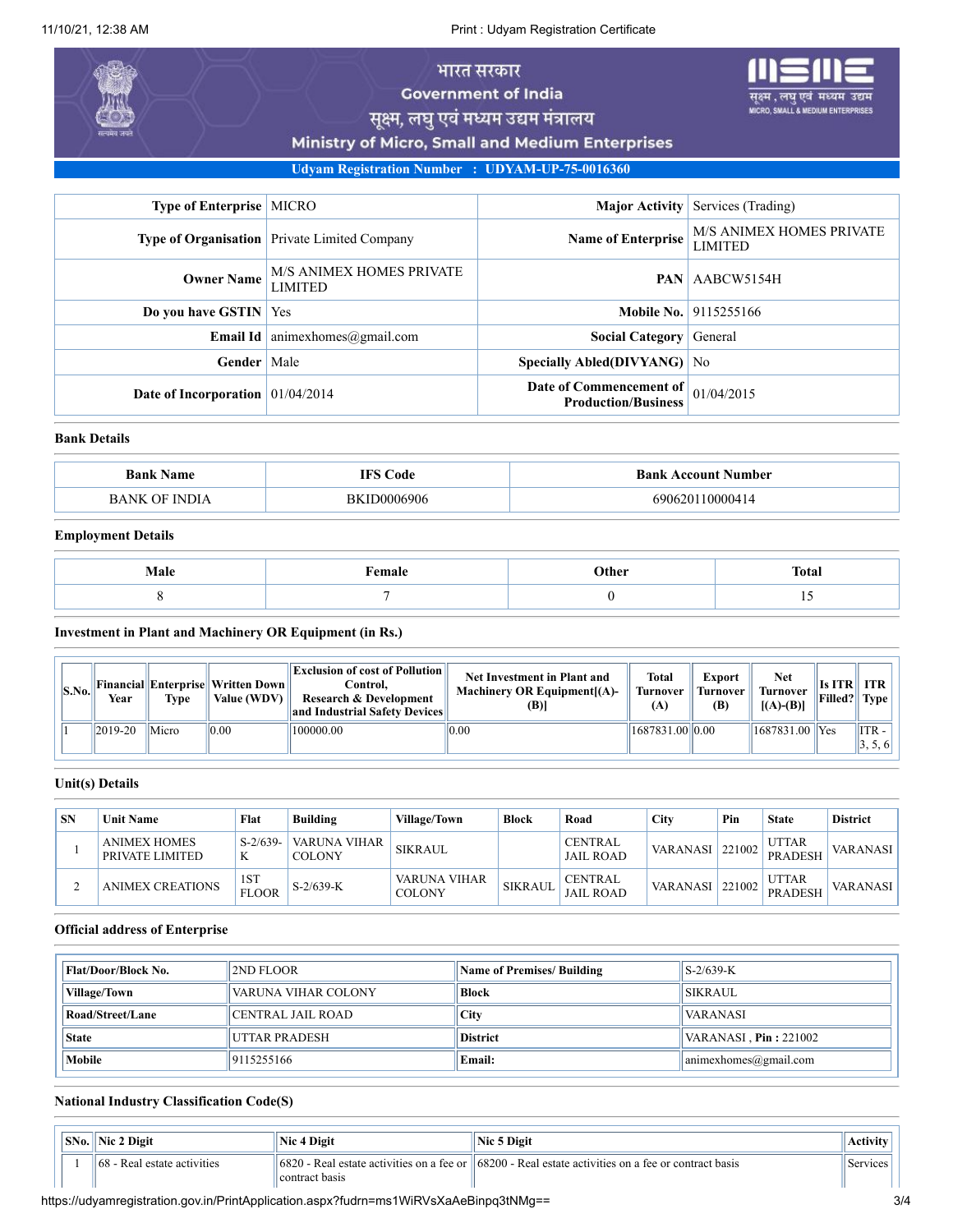11/10/21, 12:38 AM Print : Udyam Registration Certificate

# भारत सरकार

**Government of India** 

. लघ एवं MICRO, SMALL & MEDIUM ENTERPRISES

सूक्ष्म, लघु एवं मध्यम उद्यम मंत्रालय

Ministry of Micro, Small and Medium Enterprises

Udyam Registration Number : UDYAM-UP-75-0016360

| <b>Type of Enterprise   MICRO</b>                        |                                                | Major Activity                                        | Services (Trading)                                                      |
|----------------------------------------------------------|------------------------------------------------|-------------------------------------------------------|-------------------------------------------------------------------------|
|                                                          | Type of Organisation   Private Limited Company |                                                       | <b>M/S ANIMEX HOMES PRIVATE</b><br><b>Name of Enterprise</b><br>LIMITED |
| M/S ANIMEX HOMES PRIVATE<br><b>Owner Name</b><br>LIMITED |                                                | <b>PAN</b>                                            | AABCW5154H                                                              |
| <b>Do you have GSTIN</b> Yes                             |                                                |                                                       | <b>Mobile No.</b> 9115255166                                            |
| Email Id                                                 | animexhomes@gmail.com                          | <b>Social Category</b>                                | General                                                                 |
| Gender                                                   | Male                                           | Specially Abled(DIVYANG) No                           |                                                                         |
| Date of Incorporation $01/04/2014$                       |                                                | Date of Commencement of<br><b>Production/Business</b> | 01/04/2015                                                              |

#### Bank Details

| <b>Bank</b><br>: Name                                | €ode        | Bank<br><b>Account Number</b> |
|------------------------------------------------------|-------------|-------------------------------|
| $\mathbf{11}$<br>the contract of the contract of the | )6906<br>Вk | $\Omega$<br>ำ                 |

# Employment Details

| Male | $F$ emale<br>. | Other | <b>Total</b> |
|------|----------------|-------|--------------|
|      |                |       |              |

Investment in Plant and Machinery OR Equipment (in Rs.)

| S.No. | Year        | Type  | Financial  Enterprise  Written Down  <br>Value (WDV) | <b>Exclusion of cost of Pollution</b><br>Control.<br><b>Research &amp; Development</b><br>and Industrial Safety Devices | <b>Net Investment in Plant and</b><br>Machinery OR Equipment [(A)-<br>(B) | <b>Total</b><br>Turnover<br>(A) | <b>Export</b><br><b>Turnover</b><br>(B) | Net<br>Turnover<br>$[(A)-(B)]$ | Is ITR ITR<br>Filled? Type |                                 |
|-------|-------------|-------|------------------------------------------------------|-------------------------------------------------------------------------------------------------------------------------|---------------------------------------------------------------------------|---------------------------------|-----------------------------------------|--------------------------------|----------------------------|---------------------------------|
|       | $ 2019-20 $ | Micro | 0.00                                                 | 100000.00                                                                                                               | 0.00                                                                      | 1687831.00 0.00                 |                                         | $ 1687831.00 $ Yes             |                            | $^{\parallel}$ ITR -<br>1, 3, 0 |

#### Unit(s) Details

| <b>SN</b> | <b>Unit Name</b>                         | Flat                | Building                      | Village/Town           | <b>Block</b>   | Road                               | Citv                     | Pin | <b>State</b>                   | <b>District</b> |
|-----------|------------------------------------------|---------------------|-------------------------------|------------------------|----------------|------------------------------------|--------------------------|-----|--------------------------------|-----------------|
|           | <b>ANIMEX HOMES</b><br>' PRIVATE LIMITED | $S-2/639-$<br>K     | VARUNA VIHAR<br><b>COLONY</b> | <b>SIKRAUL</b>         |                | <b>CENTRAL</b><br><b>JAIL ROAD</b> | <b>VARANASI</b>   221002 |     | <b>UTTAR</b><br><b>PRADESH</b> | VARANASI        |
|           | <b>ANIMEX CREATIONS</b>                  | 1ST<br><b>FLOOR</b> | $S-2/639-K$                   | VARUNA VIHAR<br>COLONY | <b>SIKRAUL</b> | <b>CENTRAL</b><br><b>JAIL ROAD</b> | VARANASI   221002        |     | <b>UTTAR</b><br><b>PRADESH</b> | VARANASI        |

# Official address of Enterprise

| <b>Flat/Door/Block No.</b> | 2ND FLOOR           | <b>Name of Premises/ Building</b> | $S-2/639-K$                   |
|----------------------------|---------------------|-----------------------------------|-------------------------------|
| <b>Village/Town</b>        | VARUNA VIHAR COLONY | <b>Block</b>                      | <b>SIKRAUL</b>                |
| Road/Street/Lane           | CENTRAL JAIL ROAD_  | City                              | <b>VARANASI</b>               |
| <b>State</b>               | UTTAR PRADESH       | <b>District</b>                   | VARANASI, $Pin: 221002$       |
| Mobile                     | 9115255166          | <b>Email:</b>                     | $ $ animexhomes $@g$ mail.com |

# National Industry Classification Code(S)

| $ SNo. $ Nic 2 Digit                    | Nic 4 Digit    | Nic 5 Digit                                                                                                                            | <b>Activity</b> |
|-----------------------------------------|----------------|----------------------------------------------------------------------------------------------------------------------------------------|-----------------|
| $\parallel$ 68 - Real estate activities | contract basis | $\frac{16820}{16820}$ - Real estate activities on a fee or $\frac{168200}{168200}$ - Real estate activities on a fee or contract basis | Services        |